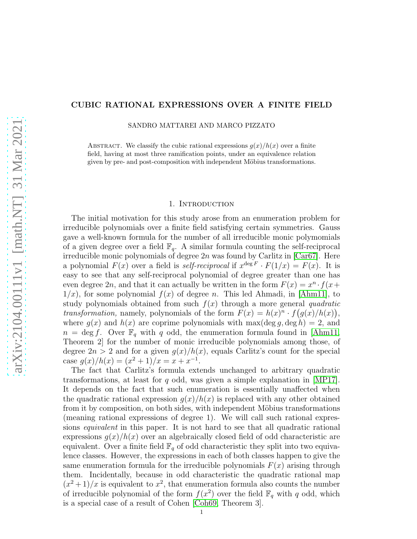# CUBIC RATIONAL EXPRESSIONS OVER A FINITE FIELD

SANDRO MATTAREI AND MARCO PIZZATO

ABSTRACT. We classify the cubic rational expressions  $g(x)/h(x)$  over a finite field, having at most three ramification points, under an equivalence relation given by pre- and post-composition with independent Möbius transformations.

#### 1. Introduction

The initial motivation for this study arose from an enumeration problem for irreducible polynomials over a finite field satisfying certain symmetries. Gauss gave a well-known formula for the number of all irreducible monic polymomials of a given degree over a field  $\mathbb{F}_q$ . A similar formula counting the self-reciprocal irreducible monic polynomials of degree  $2n$  was found by Carlitz in [\[Car67\]](#page-21-0). Here a polynomial  $F(x)$  over a field is self-reciprocal if  $x^{\deg F} \cdot F(1/x) = F(x)$ . It is easy to see that any self-reciprocal polynomial of degree greater than one has even degree 2n, and that it can actually be written in the form  $F(x) = x^n \cdot f(x +$  $1/x$ , for some polynomial  $f(x)$  of degree n. This led Ahmadi, in [\[Ahm11\]](#page-21-1), to study polynomials obtained from such  $f(x)$  through a more general quadratic transformation, namely, polynomials of the form  $F(x) = h(x)^n \cdot f(g(x)/h(x))$ , where  $g(x)$  and  $h(x)$  are coprime polynomials with max(deg g, deg h) = 2, and  $n = \deg f$ . Over  $\mathbb{F}_q$  with q odd, the enumeration formula found in [\[Ahm11,](#page-21-1) Theorem 2] for the number of monic irreducible polynomials among those, of degree  $2n > 2$  and for a given  $g(x)/h(x)$ , equals Carlitz's count for the special case  $g(x)/h(x) = (x^2 + 1)/x = x + x^{-1}$ .

The fact that Carlitz's formula extends unchanged to arbitrary quadratic transformations, at least for q odd, was given a simple explanation in [\[MP17\]](#page-21-2). It depends on the fact that such enumeration is essentially unaffected when the quadratic rational expression  $g(x)/h(x)$  is replaced with any other obtained from it by composition, on both sides, with independent Möbius transformations (meaning rational expressions of degree 1). We will call such rational expressions equivalent in this paper. It is not hard to see that all quadratic rational expressions  $g(x)/h(x)$  over an algebraically closed field of odd characteristic are equivalent. Over a finite field  $\mathbb{F}_q$  of odd characteristic they split into two equivalence classes. However, the expressions in each of both classes happen to give the same enumeration formula for the irreducible polynomials  $F(x)$  arising through them. Incidentally, because in odd characteristic the quadratic rational map  $(x^2+1)/x$  is equivalent to  $x^2$ , that enumeration formula also counts the number of irreducible polynomial of the form  $f(x^2)$  over the field  $\mathbb{F}_q$  with q odd, which is a special case of a result of Cohen [\[Coh69,](#page-21-3) Theorem 3].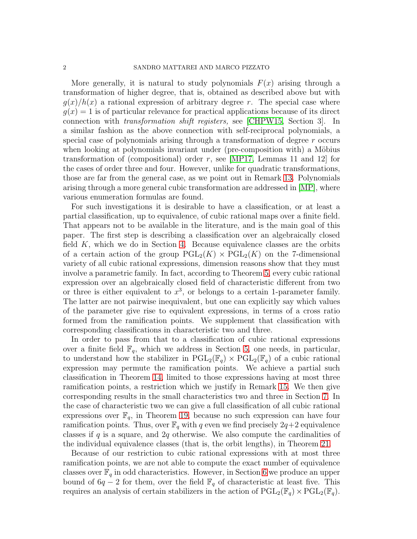More generally, it is natural to study polynomials  $F(x)$  arising through a transformation of higher degree, that is, obtained as described above but with  $g(x)/h(x)$  a rational expression of arbitrary degree r. The special case where  $g(x) = 1$  is of particular relevance for practical applications because of its direct connection with transformation shift registers, see [\[CHPW15,](#page-21-4) Section 3]. In a similar fashion as the above connection with self-reciprocal polynomials, a special case of polynomials arising through a transformation of degree r occurs when looking at polynomials invariant under (pre-composition with) a Möbius transformation of (compositional) order r, see [\[MP17,](#page-21-2) Lemmas 11 and 12] for the cases of order three and four. However, unlike for quadratic transformations, those are far from the general case, as we point out in Remark [13.](#page-13-0) Polynomials arising through a more general cubic transformation are addressed in [\[MP\]](#page-21-5), where various enumeration formulas are found.

For such investigations it is desirable to have a classification, or at least a partial classification, up to equivalence, of cubic rational maps over a finite field. That appears not to be available in the literature, and is the main goal of this paper. The first step is describing a classification over an algebraically closed field  $K$ , which we do in Section [4.](#page-7-0) Because equivalence classes are the orbits of a certain action of the group  $PGL_2(K) \times PGL_2(K)$  on the 7-dimensional variety of all cubic rational expressions, dimension reasons show that they must involve a parametric family. In fact, according to Theorem [5,](#page-7-1) every cubic rational expression over an algebraically closed field of characteristic different from two or three is either equivalent to  $x^3$ , or belongs to a certain 1-parameter family. The latter are not pairwise inequivalent, but one can explicitly say which values of the parameter give rise to equivalent expressions, in terms of a cross ratio formed from the ramification points. We supplement that classification with corresponding classifications in characteristic two and three.

In order to pass from that to a classification of cubic rational expressions over a finite field  $\mathbb{F}_q$ , which we address in Section [5,](#page-12-0) one needs, in particular, to understand how the stabilizer in  $PGL_2(\mathbb{F}_q) \times PGL_2(\mathbb{F}_q)$  of a cubic rational expression may permute the ramification points. We achieve a partial such classification in Theorem [14,](#page-13-1) limited to those expressions having at most three ramification points, a restriction which we justify in Remark [15.](#page-14-0) We then give corresponding results in the small characteristics two and three in Section [7.](#page-17-0) In the case of characteristic two we can give a full classification of all cubic rational expressions over  $\mathbb{F}_q$ , in Theorem [19,](#page-17-1) because no such expression can have four ramification points. Thus, over  $\mathbb{F}_q$  with q even we find precisely  $2q+2$  equivalence classes if q is a square, and 2q otherwise. We also compute the cardinalities of the individual equivalence classes (that is, the orbit lengths), in Theorem [21.](#page-19-0)

Because of our restriction to cubic rational expressions with at most three ramification points, we are not able to compute the exact number of equivalence classes over  $\mathbb{F}_q$  in odd characteristics. However, in Section [6](#page-14-1) we produce an upper bound of  $6q - 2$  for them, over the field  $\mathbb{F}_q$  of characteristic at least five. This requires an analysis of certain stabilizers in the action of  $\text{PGL}_2(\mathbb{F}_q) \times \text{PGL}_2(\mathbb{F}_q)$ .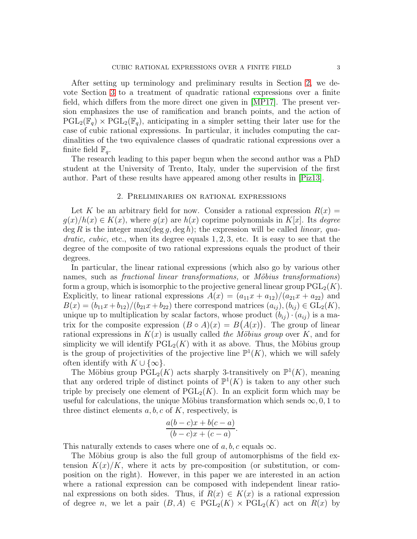After setting up terminology and preliminary results in Section [2,](#page-2-0) we devote Section [3](#page-4-0) to a treatment of quadratic rational expressions over a finite field, which differs from the more direct one given in [\[MP17\]](#page-21-2). The present version emphasizes the use of ramification and branch points, and the action of  $PGL_2(\mathbb{F}_q) \times PGL_2(\mathbb{F}_q)$ , anticipating in a simpler setting their later use for the case of cubic rational expressions. In particular, it includes computing the cardinalities of the two equivalence classes of quadratic rational expressions over a finite field  $\mathbb{F}_q$ .

The research leading to this paper begun when the second author was a PhD student at the University of Trento, Italy, under the supervision of the first author. Part of these results have appeared among other results in [\[Piz13\]](#page-21-6).

# 2. Preliminaries on rational expressions

<span id="page-2-0"></span>Let K be an arbitrary field for now. Consider a rational expression  $R(x) =$  $g(x)/h(x) \in K(x)$ , where  $g(x)$  are  $h(x)$  coprime polynomials in  $K[x]$ . Its degree  $\deg R$  is the integer max( $\deg g$ ,  $\deg h$ ); the expression will be called *linear*, qua*dratic, cubic,* etc., when its degree equals  $1, 2, 3$ , etc. It is easy to see that the degree of the composite of two rational expressions equals the product of their degrees.

In particular, the linear rational expressions (which also go by various other names, such as *fractional linear transformations*, or *Möbius transformations*) form a group, which is isomorphic to the projective general linear group  $PGL_2(K)$ . Explicitly, to linear rational expressions  $A(x) = (a_{11}x + a_{12})/(a_{21}x + a_{22})$  and  $B(x) = (b_{11}x + b_{12})/(b_{21}x + b_{22})$  there correspond matrices  $(a_{ij}), (b_{ij}) \in GL_2(K)$ , unique up to multiplication by scalar factors, whose product  $(b_{ij}) \cdot (a_{ij})$  is a matrix for the composite expression  $(B \circ A)(x) = B(A(x))$ . The group of linear rational expressions in  $K(x)$  is usually called the Möbius group over K, and for simplicity we will identify  $PGL_2(K)$  with it as above. Thus, the Möbius group is the group of projectivities of the projective line  $\mathbb{P}^1(K)$ , which we will safely often identify with  $K \cup \{\infty\}.$ 

The Möbius group  $\widehat{PGL}_2(K)$  acts sharply 3-transitively on  $\mathbb{P}^1(K)$ , meaning that any ordered triple of distinct points of  $\mathbb{P}^1(K)$  is taken to any other such triple by precisely one element of  $PGL_2(K)$ . In an explicit form which may be useful for calculations, the unique Möbius transformation which sends  $\infty, 0, 1$  to three distinct elements  $a, b, c$  of K, respectively, is

$$
\frac{a(b-c)x + b(c-a)}{(b-c)x + (c-a)}.
$$

This naturally extends to cases where one of a, b, c equals  $\infty$ .

The Möbius group is also the full group of automorphisms of the field extension  $K(x)/K$ , where it acts by pre-composition (or substitution, or composition on the right). However, in this paper we are interested in an action where a rational expression can be composed with independent linear rational expressions on both sides. Thus, if  $R(x) \in K(x)$  is a rational expression of degree n, we let a pair  $(B, A) \in \text{PGL}_2(K) \times \text{PGL}_2(K)$  act on  $R(x)$  by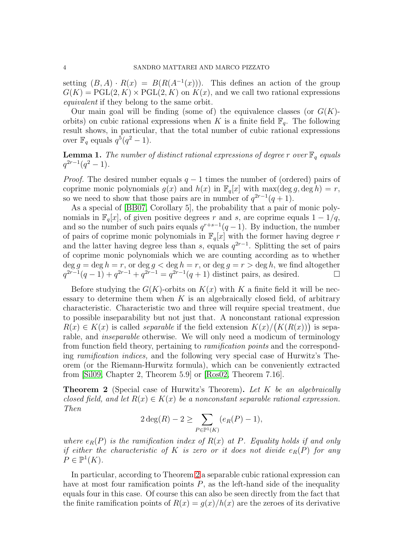setting  $(B, A) \cdot R(x) = B(R(A^{-1}(x)))$ . This defines an action of the group  $G(K) = \text{PGL}(2, K) \times \text{PGL}(2, K)$  on  $K(x)$ , and we call two rational expressions equivalent if they belong to the same orbit.

Our main goal will be finding (some of) the equivalence classes (or  $G(K)$ orbits) on cubic rational expressions when K is a finite field  $\mathbb{F}_q$ . The following result shows, in particular, that the total number of cubic rational expressions over  $\mathbb{F}_q$  equals  $q^5(q^2-1)$ .

<span id="page-3-1"></span>**Lemma 1.** The number of distinct rational expressions of degree r over  $\mathbb{F}_q$  equals  $q^{2r-1}(q^2-1)$ .

*Proof.* The desired number equals  $q - 1$  times the number of (ordered) pairs of coprime monic polynomials  $g(x)$  and  $h(x)$  in  $\mathbb{F}_q[x]$  with max $(\deg g, \deg h) = r$ , so we need to show that those pairs are in number of  $q^{2r-1}(q+1)$ .

As a special of [\[BB07,](#page-21-7) Corollary 5], the probability that a pair of monic polynomials in  $\mathbb{F}_q[x]$ , of given positive degrees r and s, are coprime equals  $1 - 1/q$ , and so the number of such pairs equals  $q^{r+s-1}(q-1)$ . By induction, the number of pairs of coprime monic polynomials in  $\mathbb{F}_q[x]$  with the former having degree r and the latter having degree less than s, equals  $q^{2r-1}$ . Splitting the set of pairs of coprime monic polynomials which we are counting according as to whether  $\deg g = \deg h = r$ , or  $\deg g < \deg h = r$ , or  $\deg g = r > \deg h$ , we find altogether  $q^{2r-1}(q-1) + q^{2r-1} + q^{2r-1} = q^{2r-1}(q+1)$  distinct pairs, as desired.  $\square$ 

Before studying the  $G(K)$ -orbits on  $K(x)$  with K a finite field it will be necessary to determine them when  $K$  is an algebraically closed field, of arbitrary characteristic. Characteristic two and three will require special treatment, due to possible inseparability but not just that. A nonconstant rational expression  $R(x) \in K(x)$  is called *separable* if the field extension  $K(x)/\left(K(R(x))\right)$  is separable, and inseparable otherwise. We will only need a modicum of terminology from function field theory, pertaining to ramification points and the corresponding ramification indices, and the following very special case of Hurwitz's Theorem (or the Riemann-Hurwitz formula), which can be conveniently extracted from [\[Sil09,](#page-21-8) Chapter 2, Theorem 5.9] or [\[Ros02,](#page-21-9) Theorem 7.16].

<span id="page-3-0"></span>**Theorem 2** (Special case of Hurwitz's Theorem). Let K be an algebraically closed field, and let  $R(x) \in K(x)$  be a nonconstant separable rational expression. Then

$$
2 \deg(R) - 2 \ge \sum_{P \in \mathbb{P}^1(K)} (e_R(P) - 1),
$$

where  $e_R(P)$  is the ramification index of  $R(x)$  at P. Equality holds if and only if either the characteristic of K is zero or it does not divide  $e_R(P)$  for any  $P \in \mathbb{P}^1(K).$ 

In particular, according to Theorem [2](#page-3-0) a separable cubic rational expression can have at most four ramification points  $P$ , as the left-hand side of the inequality equals four in this case. Of course this can also be seen directly from the fact that the finite ramification points of  $R(x) = g(x)/h(x)$  are the zeroes of its derivative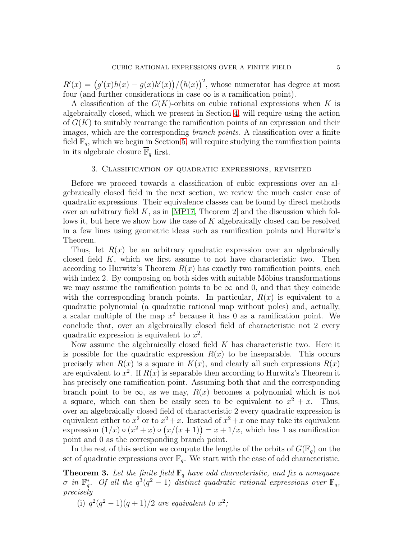$R'(x) = (g'(x)h(x) - g(x)h'(x))/(h(x))^2$ , whose numerator has degree at most four (and further considerations in case  $\infty$  is a ramification point).

A classification of the  $G(K)$ -orbits on cubic rational expressions when K is algebraically closed, which we present in Section [4,](#page-7-0) will require using the action of  $G(K)$  to suitably rearrange the ramification points of an expression and their images, which are the corresponding branch points. A classification over a finite field  $\mathbb{F}_q$ , which we begin in Section [5,](#page-12-0) will require studying the ramification points in its algebraic closure  $\mathbb{F}_q$  first.

## 3. Classification of quadratic expressions, revisited

<span id="page-4-0"></span>Before we proceed towards a classification of cubic expressions over an algebraically closed field in the next section, we review the much easier case of quadratic expressions. Their equivalence classes can be found by direct methods over an arbitrary field  $K$ , as in [\[MP17,](#page-21-2) Theorem 2] and the discussion which follows it, but here we show how the case of K algebraically closed can be resolved in a few lines using geometric ideas such as ramification points and Hurwitz's Theorem.

Thus, let  $R(x)$  be an arbitrary quadratic expression over an algebraically closed field  $K$ , which we first assume to not have characteristic two. Then according to Hurwitz's Theorem  $R(x)$  has exactly two ramification points, each with index 2. By composing on both sides with suitable Möbius transformations we may assume the ramification points to be  $\infty$  and 0, and that they coincide with the corresponding branch points. In particular,  $R(x)$  is equivalent to a quadratic polynomial (a quadratic rational map without poles) and, actually, a scalar multiple of the map  $x^2$  because it has 0 as a ramification point. We conclude that, over an algebraically closed field of characteristic not 2 every quadratic expression is equivalent to  $x^2$ .

Now assume the algebraically closed field  $K$  has characteristic two. Here it is possible for the quadratic expression  $R(x)$  to be inseparable. This occurs precisely when  $R(x)$  is a square in  $K(x)$ , and clearly all such expressions  $R(x)$ are equivalent to  $x^2$ . If  $R(x)$  is separable then according to Hurwitz's Theorem it has precisely one ramification point. Assuming both that and the corresponding branch point to be  $\infty$ , as we may,  $R(x)$  becomes a polynomial which is not a square, which can then be easily seen to be equivalent to  $x^2 + x$ . Thus, over an algebraically closed field of characteristic 2 every quadratic expression is equivalent either to  $x^2$  or to  $x^2 + x$ . Instead of  $x^2 + x$  one may take its equivalent expression  $(1/x) \circ (x^2 + x) \circ (x/(x+1)) = x + 1/x$ , which has 1 as ramification point and 0 as the corresponding branch point.

In the rest of this section we compute the lengths of the orbits of  $G(\mathbb{F}_q)$  on the set of quadratic expressions over  $\mathbb{F}_q$ . We start with the case of odd characteristic.

<span id="page-4-1"></span>**Theorem 3.** Let the finite field  $\mathbb{F}_q$  have odd characteristic, and fix a nonsquare  $\sigma$  in  $\mathbb{F}_q^*$ \*. Of all the  $q^3(q^2-1)$  distinct quadratic rational expressions over  $\mathbb{F}_q$ , precisely

(i)  $q^2(q^2-1)(q+1)/2$  are equivalent to  $x^2$ ;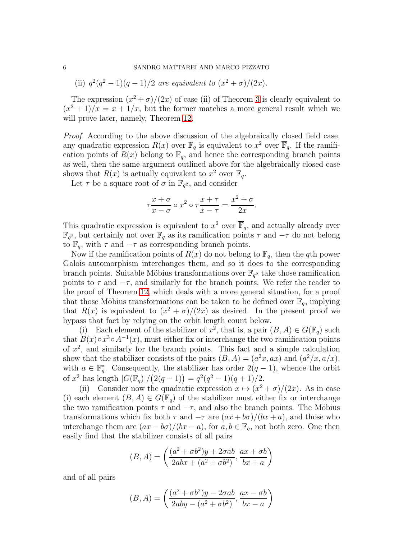(ii)  $q^2(q^2-1)(q-1)/2$  are equivalent to  $(x^2 + \sigma)/(2x)$ .

The expression  $(x^2 + \sigma)/(2x)$  of case (ii) of Theorem [3](#page-4-1) is clearly equivalent to  $(x^{2} + 1)/x = x + 1/x$ , but the former matches a more general result which we will prove later, namely, Theorem [12.](#page-12-1)

Proof. According to the above discussion of the algebraically closed field case, any quadratic expression  $R(x)$  over  $\mathbb{F}_q$  is equivalent to  $x^2$  over  $\overline{\mathbb{F}}_q$ . If the ramification points of  $R(x)$  belong to  $\mathbb{F}_q$ , and hence the corresponding branch points as well, then the same argument outlined above for the algebraically closed case shows that  $R(x)$  is actually equivalent to  $x^2$  over  $\mathbb{F}_q$ .

Let  $\tau$  be a square root of  $\sigma$  in  $\mathbb{F}_{q^2}$ , and consider

$$
\tau \frac{x+\sigma}{x-\sigma} \circ x^2 \circ \tau \frac{x+\tau}{x-\tau} = \frac{x^2+\sigma}{2x}.
$$

This quadratic expression is equivalent to  $x^2$  over  $\overline{\mathbb{F}}_q$ , and actually already over  $\mathbb{F}_{q^2}$ , but certainly not over  $\mathbb{F}_q$  as its ramification points  $\tau$  and  $-\tau$  do not belong to  $\mathbb{F}_q$ , with  $\tau$  and  $-\tau$  as corresponding branch points.

Now if the ramification points of  $R(x)$  do not belong to  $\mathbb{F}_q$ , then the qth power Galois automorphism interchanges them, and so it does to the corresponding branch points. Suitable Möbius transformations over  $\mathbb{F}_{q^2}$  take those ramification points to  $\tau$  and  $-\tau$ , and similarly for the branch points. We refer the reader to the proof of Theorem [12,](#page-12-1) which deals with a more general situation, for a proof that those Möbius transformations can be taken to be defined over  $\mathbb{F}_q$ , implying that  $R(x)$  is equivalent to  $(x^2 + \sigma)/(2x)$  as desired. In the present proof we bypass that fact by relying on the orbit length count below.

(i) Each element of the stabilizer of  $x^2$ , that is, a pair  $(B, A) \in G(\mathbb{F}_q)$  such that  $B(x) \circ x^3 \circ A^{-1}(x)$ , must either fix or interchange the two ramification points of  $x^2$ , and similarly for the branch points. This fact and a simple calculation show that the stabilizer consists of the pairs  $(B, A) = (a^2x, ax)$  and  $(a^2/x, a/x)$ , with  $a \in \mathbb{F}_q^*$ <sup>\*</sup><sub>q</sub></sub>. Consequently, the stabilizer has order  $2(q-1)$ , whence the orbit of  $x^2$  has length  $|G(\mathbb{F}_q)|/(2(q-1)) = q^2(q^2-1)(q+1)/2$ .

(ii) Consider now the quadratic expression  $x \mapsto (x^2 + \sigma)/(2x)$ . As in case (i) each element  $(B, A) \in G(\mathbb{F}_q)$  of the stabilizer must either fix or interchange the two ramification points  $\tau$  and  $-\tau$ , and also the branch points. The Möbius transformations which fix both  $\tau$  and  $-\tau$  are  $(ax + b\sigma)/(bx + a)$ , and those who interchange them are  $(ax - b\sigma)/(bx - a)$ , for  $a, b \in \mathbb{F}_q$ , not both zero. One then easily find that the stabilizer consists of all pairs

$$
(B, A) = \left(\frac{(a^2 + \sigma b^2)y + 2\sigma ab}{2abx + (a^2 + \sigma b^2)}, \frac{ax + \sigma b}{bx + a}\right)
$$

and of all pairs

$$
(B, A) = \left(\frac{(a^2 + \sigma b^2)y - 2\sigma ab}{2aby - (a^2 + \sigma b^2)}, \frac{ax - \sigma b}{bx - a}\right)
$$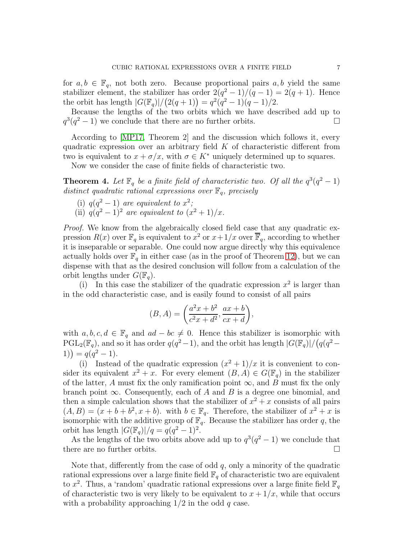for  $a, b \in \mathbb{F}_q$ , not both zero. Because proportional pairs  $a, b$  yield the same stabilizer element, the stabilizer has order  $2(q^2-1)/(q-1) = 2(q+1)$ . Hence the orbit has length  $|G(\mathbb{F}_q)|/(2(q+1)) = q^2(q^2-1)(q-1)/2$ .

Because the lengths of the two orbits which we have described add up to  $q^3(q^2-1)$  we conclude that there are no further orbits.

According to [\[MP17,](#page-21-2) Theorem 2] and the discussion which follows it, every quadratic expression over an arbitrary field  $K$  of characteristic different from two is equivalent to  $x + \sigma/x$ , with  $\sigma \in K^*$  uniquely determined up to squares.

Now we consider the case of finite fields of characteristic two.

**Theorem 4.** Let  $\mathbb{F}_q$  be a finite field of characteristic two. Of all the  $q^3(q^2-1)$ distinct quadratic rational expressions over  $\mathbb{F}_q$ , precisely

(i)  $q(q^2-1)$  are equivalent to  $x^2$ ; (ii)  $q(q^2 - 1)^2$  are equivalent to  $(x^2 + 1)/x$ .

Proof. We know from the algebraically closed field case that any quadratic expression  $R(x)$  over  $\mathbb{F}_q$  is equivalent to  $x^2$  or  $x+1/x$  over  $\overline{\mathbb{F}}_q$ , according to whether it is inseparable or separable. One could now argue directly why this equivalence actually holds over  $\mathbb{F}_q$  in either case (as in the proof of Theorem [12\)](#page-12-1), but we can dispense with that as the desired conclusion will follow from a calculation of the orbit lengths under  $G(\mathbb{F}_q)$ .

(i) In this case the stabilizer of the quadratic expression  $x^2$  is larger than in the odd characteristic case, and is easily found to consist of all pairs

$$
(B, A) = \left(\frac{a^2x + b^2}{c^2x + d^2}, \frac{ax + b}{cx + d}\right),
$$

with  $a, b, c, d \in \mathbb{F}_q$  and  $ad - bc \neq 0$ . Hence this stabilizer is isomorphic with  $PGL_2(\mathbb{F}_q)$ , and so it has order  $q(q^2-1)$ , and the orbit has length  $|G(\mathbb{F}_q)|/(q(q^2-1))$ 1)) =  $q(q^2-1)$ .

(i) Instead of the quadratic expression  $(x^2 + 1)/x$  it is convenient to consider its equivalent  $x^2 + x$ . For every element  $(B, A) \in G(\mathbb{F}_q)$  in the stabilizer of the latter, A must fix the only ramification point  $\infty$ , and B must fix the only branch point  $\infty$ . Consequently, each of A and B is a degree one binomial, and then a simple calculation shows that the stabilizer of  $x^2 + x$  consists of all pairs  $(A, B) = (x + b + b^2, x + b)$ . with  $b \in \mathbb{F}_q$ . Therefore, the stabilizer of  $x^2 + x$  is isomorphic with the additive group of  $\mathbb{F}_q$ . Because the stabilizer has order q, the orbit has length  $|G(\mathbb{F}_q)|/q = q(q^2 - 1)^2$ .

As the lengths of the two orbits above add up to  $q^3(q^2-1)$  we conclude that there are no further orbits.

Note that, differently from the case of odd  $q$ , only a minority of the quadratic rational expressions over a large finite field  $\mathbb{F}_q$  of characteristic two are equivalent to  $x^2$ . Thus, a 'random' quadratic rational expressions over a large finite field  $\mathbb{F}_q$ of characteristic two is very likely to be equivalent to  $x + \frac{1}{x}$ , while that occurs with a probability approaching  $1/2$  in the odd q case.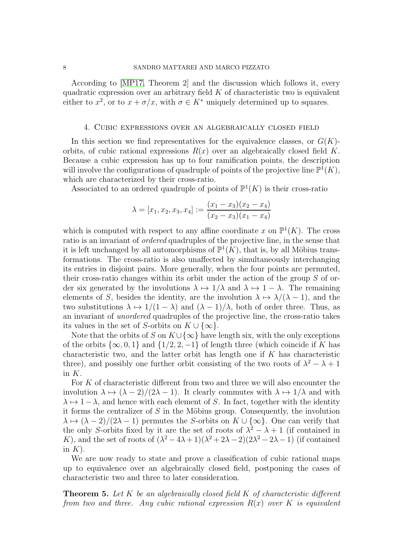## 8 SANDRO MATTAREI AND MARCO PIZZATO

According to [\[MP17,](#page-21-2) Theorem 2] and the discussion which follows it, every quadratic expression over an arbitrary field  $K$  of characteristic two is equivalent either to  $x^2$ , or to  $x + \sigma/x$ , with  $\sigma \in K^*$  uniquely determined up to squares.

## <span id="page-7-0"></span>4. Cubic expressions over an algebraically closed field

In this section we find representatives for the equivalence classes, or  $G(K)$ orbits, of cubic rational expressions  $R(x)$  over an algebraically closed field K. Because a cubic expression has up to four ramification points, the description will involve the configurations of quadruple of points of the projective line  $\mathbb{P}^1(K)$ , which are characterized by their cross-ratio.

Associated to an ordered quadruple of points of  $\mathbb{P}^1(K)$  is their cross-ratio

$$
\lambda = [x_1, x_2, x_3, x_4] := \frac{(x_1 - x_3)(x_2 - x_4)}{(x_2 - x_3)(x_1 - x_4)}
$$

which is computed with respect to any affine coordinate x on  $\mathbb{P}^1(K)$ . The cross ratio is an invariant of ordered quadruples of the projective line, in the sense that it is left unchanged by all automorphisms of  $\mathbb{P}^1(K)$ , that is, by all Möbius transformations. The cross-ratio is also unaffected by simultaneously interchanging its entries in disjoint pairs. More generally, when the four points are permuted, their cross-ratio changes within its orbit under the action of the group S of order six generated by the involutions  $\lambda \mapsto 1/\lambda$  and  $\lambda \mapsto 1-\lambda$ . The remaining elements of S, besides the identity, are the involution  $\lambda \mapsto \lambda/(\lambda - 1)$ , and the two substitutions  $\lambda \mapsto 1/(1 - \lambda)$  and  $(\lambda - 1)/\lambda$ , both of order three. Thus, as an invariant of unordered quadruples of the projective line, the cross-ratio takes its values in the set of S-orbits on  $K \cup \{\infty\}$ .

Note that the orbits of S on  $K \cup \{\infty\}$  have length six, with the only exceptions of the orbits  $\{\infty, 0, 1\}$  and  $\{1/2, 2, -1\}$  of length three (which coincide if K has characteristic two, and the latter orbit has length one if  $K$  has characteristic three), and possibly one further orbit consisting of the two roots of  $\lambda^2 - \lambda + 1$ in  $K$ .

For K of characteristic different from two and three we will also encounter the involution  $\lambda \mapsto (\lambda - 2)/(2\lambda - 1)$ . It clearly commutes with  $\lambda \mapsto 1/\lambda$  and with  $\lambda \mapsto 1-\lambda$ , and hence with each element of S. In fact, together with the identity it forms the centralizer of  $S$  in the Möbius group. Consequently, the involution  $\lambda \mapsto (\lambda - 2)/(2\lambda - 1)$  permutes the S-orbits on  $K \cup {\infty}$ . One can verify that the only S-orbits fixed by it are the set of roots of  $\lambda^2 - \lambda + 1$  (if contained in K), and the set of roots of  $(\lambda^2 - 4\lambda + 1)(\lambda^2 + 2\lambda - 2)(2\lambda^2 - 2\lambda - 1)$  (if contained in  $K$ ).

We are now ready to state and prove a classification of cubic rational maps up to equivalence over an algebraically closed field, postponing the cases of characteristic two and three to later consideration.

<span id="page-7-1"></span>**Theorem 5.** Let K be an algebraically closed field K of characteristic different from two and three. Any cubic rational expression  $R(x)$  over K is equivalent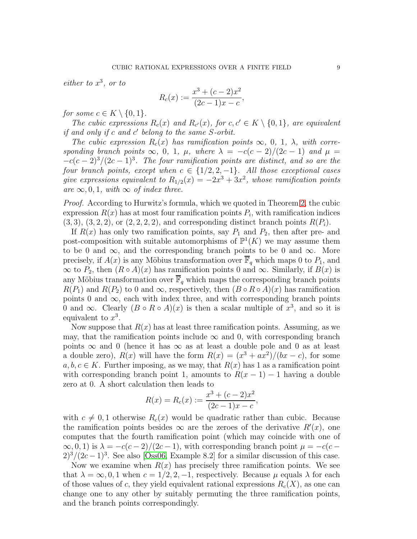either to  $x^3$ , or to

$$
R_c(x) := \frac{x^3 + (c-2)x^2}{(2c-1)x - c},
$$

for some  $c \in K \setminus \{0, 1\}.$ 

The cubic expressions  $R_c(x)$  and  $R_{c'}(x)$ , for  $c, c' \in K \setminus \{0, 1\}$ , are equivalent if and only if c and c' belong to the same S-orbit.

The cubic expression  $R_c(x)$  has ramification points  $\infty$ , 0, 1,  $\lambda$ , with corresponding branch points  $\infty$ , 0, 1,  $\mu$ , where  $\lambda = -c(c-2)/(2c-1)$  and  $\mu =$  $-c(c-2)^3/(2c-1)^3$ . The four ramification points are distinct, and so are the four branch points, except when  $c \in \{1/2, 2, -1\}$ . All those exceptional cases give expressions equivalent to  $R_{1/2}(x) = -2x^3 + 3x^2$ , whose ramification points are  $\infty, 0, 1$ , with  $\infty$  of index three.

Proof. According to Hurwitz's formula, which we quoted in Theorem [2,](#page-3-0) the cubic expression  $R(x)$  has at most four ramification points  $P_i$ , with ramification indices  $(3, 3), (3, 2, 2),$  or  $(2, 2, 2, 2),$  and corresponding distinct branch points  $R(P_i)$ .

If  $R(x)$  has only two ramification points, say  $P_1$  and  $P_2$ , then after pre- and post-composition with suitable automorphisms of  $\mathbb{P}^1(K)$  we may assume them to be 0 and  $\infty$ , and the corresponding branch points to be 0 and  $\infty$ . More precisely, if  $A(x)$  is any Möbius transformation over  $\mathbb{F}_q$  which maps 0 to  $P_1$ , and  $\infty$  to  $P_2$ , then  $(R \circ A)(x)$  has ramification points 0 and  $\infty$ . Similarly, if  $B(x)$  is any Möbius transformation over  $\overline{\mathbb{F}}_q$  which maps the corresponding branch points  $R(P_1)$  and  $R(P_2)$  to 0 and  $\infty$ , respectively, then  $(B \circ R \circ A)(x)$  has ramification points 0 and  $\infty$ , each with index three, and with corresponding branch points 0 and  $\infty$ . Clearly  $(B \circ R \circ A)(x)$  is then a scalar multiple of  $x^3$ , and so it is equivalent to  $x^3$ .

Now suppose that  $R(x)$  has at least three ramification points. Assuming, as we may, that the ramification points include  $\infty$  and 0, with corresponding branch points  $\infty$  and 0 (hence it has  $\infty$  as at least a double pole and 0 as at least a double zero),  $R(x)$  will have the form  $R(x) = (x^3 + ax^2)/(bx - c)$ , for some  $a, b, c \in K$ . Further imposing, as we may, that  $R(x)$  has 1 as a ramification point with corresponding branch point 1, amounts to  $R(x - 1) - 1$  having a double zero at 0. A short calculation then leads to

$$
R(x) = R_c(x) := \frac{x^3 + (c - 2)x^2}{(2c - 1)x - c},
$$

with  $c \neq 0, 1$  otherwise  $R_c(x)$  would be quadratic rather than cubic. Because the ramification points besides  $\infty$  are the zeroes of the derivative  $R'(x)$ , one computes that the fourth ramification point (which may coincide with one of  $\infty, 0, 1$ ) is  $\lambda = -c(c-2)/(2c-1)$ , with corresponding branch point  $\mu = -c(c-1)$  $2)^3/(2c-1)^3$ . See also [\[Oss06,](#page-21-10) Example 8.2] for a similar discussion of this case.

Now we examine when  $R(x)$  has precisely three ramification points. We see that  $\lambda = \infty, 0, 1$  when  $c = 1/2, 2, -1$ , respectively. Because  $\mu$  equals  $\lambda$  for each of those values of c, they yield equivalent rational expressions  $R_c(X)$ , as one can change one to any other by suitably permuting the three ramification points, and the branch points correspondingly.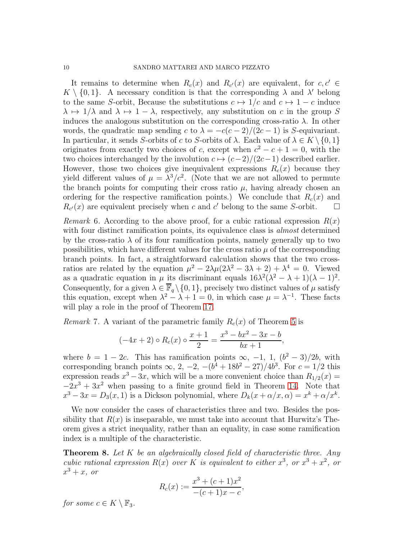It remains to determine when  $R_c(x)$  and  $R_{c'}(x)$  are equivalent, for  $c, c' \in$  $K \setminus \{0,1\}$ . A necessary condition is that the corresponding  $\lambda$  and  $\lambda'$  belong to the same S-orbit, Because the substitutions  $c \mapsto 1/c$  and  $c \mapsto 1 - c$  induce  $\lambda \mapsto 1/\lambda$  and  $\lambda \mapsto 1-\lambda$ , respectively, any substitution on c in the group S induces the analogous substitution on the corresponding cross-ratio  $\lambda$ . In other words, the quadratic map sending c to  $\lambda = -c(c-2)/(2c-1)$  is S-equivariant. In particular, it sends S-orbits of c to S-orbits of  $\lambda$ . Each value of  $\lambda \in K \setminus \{0, 1\}$ originates from exactly two choices of c, except when  $c^2 - c + 1 = 0$ , with the two choices interchanged by the involution  $c \mapsto (c-2)/(2c-1)$  described earlier. However, those two choices give inequivalent expressions  $R_c(x)$  because they yield different values of  $\mu = \lambda^3/c^2$ . (Note that we are not allowed to permute the branch points for computing their cross ratio  $\mu$ , having already chosen an ordering for the respective ramification points.) We conclude that  $R_c(x)$  and  $R_{c'}(x)$  are equivalent precisely when c and c' belong to the same S-orbit.  $\square$ 

<span id="page-9-2"></span>*Remark* 6. According to the above proof, for a cubic rational expression  $R(x)$ with four distinct ramification points, its equivalence class is *almost* determined by the cross-ratio  $\lambda$  of its four ramification points, namely generally up to two possibilities, which have different values for the cross ratio  $\mu$  of the corresponding branch points. In fact, a straightforward calculation shows that the two crossratios are related by the equation  $\mu^2 - 2\lambda\mu(2\lambda^2 - 3\lambda + 2) + \lambda^4 = 0$ . Viewed as a quadratic equation in  $\mu$  its discriminant equals  $16\lambda^2(\lambda^2 - \lambda + 1)(\lambda - 1)^2$ . Consequently, for a given  $\lambda \in \overline{\mathbb{F}}_q \setminus \{0, 1\}$ , precisely two distinct values of  $\mu$  satisfy this equation, except when  $\lambda^2 - \lambda + 1 = 0$ , in which case  $\mu = \lambda^{-1}$ . These facts will play a role in the proof of Theorem [17.](#page-16-0)

<span id="page-9-0"></span>*Remark* 7. A variant of the parametric family  $R_c(x)$  of Theorem [5](#page-7-1) is

$$
(-4x+2) \circ R_c(x) \circ \frac{x+1}{2} = \frac{x^3 - bx^2 - 3x - b}{bx + 1},
$$

where  $b = 1 - 2c$ . This has ramification points  $\infty$ ,  $-1$ ,  $1$ ,  $(b^2 - 3)/2b$ , with corresponding branch points  $\infty$ , 2, -2,  $-(b^4 + 18b^2 - 27)/4b^3$ . For  $c = 1/2$  this expression reads  $x^3 - 3x$ , which will be a more convenient choice than  $R_{1/2}(x) =$  $-2x^3 + 3x^2$  when passing to a finite ground field in Theorem [14.](#page-13-1) Note that  $x^3 - 3x = D_3(x, 1)$  is a Dickson polynomial, where  $D_k(x + \alpha/x, \alpha) = x^k + \alpha/x^k$ .

We now consider the cases of characteristics three and two. Besides the possibility that  $R(x)$  is inseparable, we must take into account that Hurwitz's Theorem gives a strict inequality, rather than an equality, in case some ramification index is a multiple of the characteristic.

<span id="page-9-1"></span>**Theorem 8.** Let  $K$  be an algebraically closed field of characteristic three. Any cubic rational expression  $R(x)$  over K is equivalent to either  $x^3$ , or  $x^3 + x^2$ , or  $x^3+x$ , or

$$
R_c(x) := \frac{x^3 + (c+1)x^2}{-(c+1)x - c},
$$

for some  $c \in K \setminus \mathbb{F}_3$ .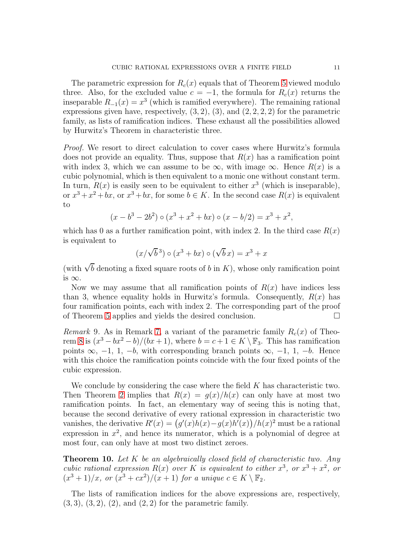The parametric expression for  $R_c(x)$  equals that of Theorem [5](#page-7-1) viewed modulo three. Also, for the excluded value  $c = -1$ , the formula for  $R_c(x)$  returns the inseparable  $R_{-1}(x) = x^3$  (which is ramified everywhere). The remaining rational expressions given have, respectively,  $(3, 2)$ ,  $(3)$ , and  $(2, 2, 2, 2)$  for the parametric family, as lists of ramification indices. These exhaust all the possibilities allowed by Hurwitz's Theorem in characteristic three.

Proof. We resort to direct calculation to cover cases where Hurwitz's formula does not provide an equality. Thus, suppose that  $R(x)$  has a ramification point with index 3, which we can assume to be  $\infty$ , with image  $\infty$ . Hence  $R(x)$  is a cubic polynomial, which is then equivalent to a monic one without constant term. In turn,  $R(x)$  is easily seen to be equivalent to either  $x^3$  (which is inseparable), or  $x^3 + x^2 + bx$ , or  $x^3 + bx$ , for some  $b \in K$ . In the second case  $R(x)$  is equivalent to

$$
(x - b3 - 2b2) \circ (x3 + x2 + bx) \circ (x - b/2) = x3 + x2,
$$

which has 0 as a further ramification point, with index 2. In the third case  $R(x)$ is equivalent to

$$
(x/\sqrt{b}^3) \circ (x^3 + bx) \circ (\sqrt{b}x) = x^3 + x
$$

(with  $\sqrt{b}$  denoting a fixed square roots of b in K), whose only ramification point is  $\infty$ .

Now we may assume that all ramification points of  $R(x)$  have indices less than 3, whence equality holds in Hurwitz's formula. Consequently,  $R(x)$  has four ramification points, each with index 2. The corresponding part of the proof of Theorem [5](#page-7-1) applies and yields the desired conclusion.

Remark 9. As in Remark [7,](#page-9-0) a variant of the parametric family  $R_c(x)$  of Theo-rem [8](#page-9-1) is  $(x^3 - bx^2 - b)/(bx + 1)$ , where  $b = c + 1 \in K \setminus \mathbb{F}_3$ . This has ramification points  $\infty$ ,  $-1$ , 1,  $-b$ , with corresponding branch points  $\infty$ ,  $-1$ , 1,  $-b$ . Hence with this choice the ramification points coincide with the four fixed points of the cubic expression.

We conclude by considering the case where the field  $K$  has characteristic two. Then Theorem [2](#page-3-0) implies that  $R(x) = g(x)/h(x)$  can only have at most two ramification points. In fact, an elementary way of seeing this is noting that, because the second derivative of every rational expression in characteristic two vanishes, the derivative  $R'(x) = (g'(x)h(x) - g(x)h'(x))/h(x)^2$  must be a rational expression in  $x^2$ , and hence its numerator, which is a polynomial of degree at most four, can only have at most two distinct zeroes.

<span id="page-10-0"></span>**Theorem 10.** Let  $K$  be an algebraically closed field of characteristic two. Any cubic rational expression  $R(x)$  over K is equivalent to either  $x^3$ , or  $x^3 + x^2$ , or  $(x^3+1)/x$ , or  $(x^3+cx^2)/(x+1)$  for a unique  $c \in K \setminus \mathbb{F}_2$ .

The lists of ramification indices for the above expressions are, respectively,  $(3, 3), (3, 2), (2), \text{ and } (2, 2) \text{ for the parametric family.}$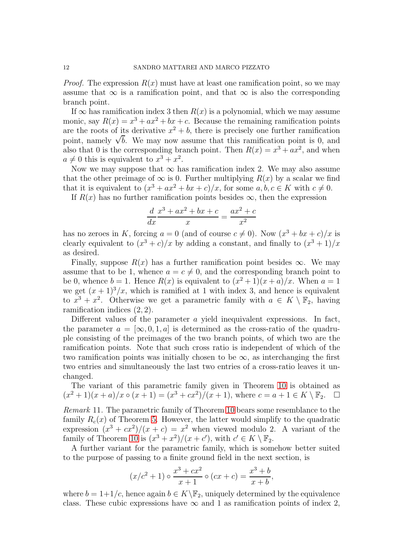*Proof.* The expression  $R(x)$  must have at least one ramification point, so we may assume that  $\infty$  is a ramification point, and that  $\infty$  is also the corresponding branch point.

If  $\infty$  has ramification index 3 then  $R(x)$  is a polynomial, which we may assume monic, say  $R(x) = x^3 + ax^2 + bx + c$ . Because the remaining ramification points are the roots of its derivative  $x^2 + b$ , there is precisely one further ramification point, namely  $\sqrt{b}$ . We may now assume that this ramification point is 0, and also that 0 is the corresponding branch point. Then  $R(x) = x^3 + ax^2$ , and when  $a \neq 0$  this is equivalent to  $x^3 + x^2$ .

Now we may suppose that  $\infty$  has ramification index 2. We may also assume that the other preimage of  $\infty$  is 0. Further multiplying  $R(x)$  by a scalar we find that it is equivalent to  $(x^3 + ax^2 + bx + c)/x$ , for some  $a, b, c \in K$  with  $c \neq 0$ .

If  $R(x)$  has no further ramification points besides  $\infty$ , then the expression

$$
\frac{d}{dx}\frac{x^3 + ax^2 + bx + c}{x} = \frac{ax^2 + c}{x^2}
$$

has no zeroes in K, forcing  $a = 0$  (and of course  $c \neq 0$ ). Now  $(x^3 + bx + c)/x$  is clearly equivalent to  $(x^3 + c)/x$  by adding a constant, and finally to  $(x^3 + 1)/x$ as desired.

Finally, suppose  $R(x)$  has a further ramification point besides  $\infty$ . We may assume that to be 1, whence  $a = c \neq 0$ , and the corresponding branch point to be 0, whence  $b = 1$ . Hence  $R(x)$  is equivalent to  $(x^2 + 1)(x + a)/x$ . When  $a = 1$ we get  $(x + 1)^3/x$ , which is ramified at 1 with index 3, and hence is equivalent to  $x^3 + x^2$ . Otherwise we get a parametric family with  $a \in K \setminus \mathbb{F}_2$ , having ramification indices (2, 2).

Different values of the parameter  $\alpha$  yield inequivalent expressions. In fact, the parameter  $a = [\infty, 0, 1, a]$  is determined as the cross-ratio of the quadruple consisting of the preimages of the two branch points, of which two are the ramification points. Note that such cross ratio is independent of which of the two ramification points was initially chosen to be  $\infty$ , as interchanging the first two entries and simultaneously the last two entries of a cross-ratio leaves it unchanged.

The variant of this parametric family given in Theorem [10](#page-10-0) is obtained as  $(x^{2} + 1)(x + a)/x \circ (x + 1) = (x^{3} + cx^{2})/(x + 1)$ , where  $c = a + 1 \in K \setminus \mathbb{F}_{2}$ .  $\Box$ 

<span id="page-11-0"></span>Remark 11. The parametric family of Theorem [10](#page-10-0) bears some resemblance to the family  $R_c(x)$  of Theorem [5.](#page-7-1) However, the latter would simplify to the quadratic expression  $(x^3 + cx^2)/(x + c) = x^2$  when viewed modulo 2. A variant of the family of Theorem [10](#page-10-0) is  $(x^3 + x^2)/(x + c')$ , with  $c' \in K \setminus \mathbb{F}_2$ .

A further variant for the parametric family, which is somehow better suited to the purpose of passing to a finite ground field in the next section, is

$$
(x/c2 + 1) \circ \frac{x3 + cx2}{x + 1} \circ (cx + c) = \frac{x3 + b}{x + b},
$$

where  $b = 1+1/c$ , hence again  $b \in K \backslash \mathbb{F}_2$ , uniquely determined by the equivalence class. These cubic expressions have  $\infty$  and 1 as ramification points of index 2,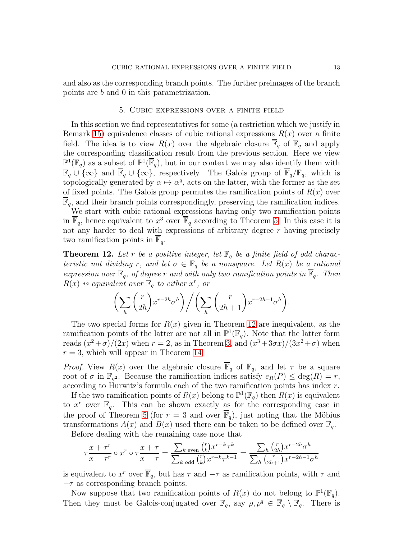<span id="page-12-0"></span>and also as the corresponding branch points. The further preimages of the branch points are b and 0 in this parametrization.

# 5. Cubic expressions over a finite field

In this section we find representatives for some (a restriction which we justify in Remark [15\)](#page-14-0) equivalence classes of cubic rational expressions  $R(x)$  over a finite field. The idea is to view  $R(x)$  over the algebraic closure  $\overline{\mathbb{F}}_q$  of  $\mathbb{F}_q$  and apply the corresponding classification result from the previous section. Here we view  $\mathbb{P}^1(\mathbb{F}_q)$  as a subset of  $\mathbb{P}^1(\overline{\mathbb{F}}_q)$ , but in our context we may also identify them with  $\mathbb{F}_q \cup \{\infty\}$  and  $\overline{\mathbb{F}}_q \cup \{\infty\}$ , respectively. The Galois group of  $\overline{\mathbb{F}}_q/\mathbb{F}_q$ , which is topologically generated by  $\alpha \mapsto \alpha^q$ , acts on the latter, with the former as the set of fixed points. The Galois group permutes the ramification points of  $R(x)$  over  $\mathbb{F}_q$ , and their branch points correspondingly, preserving the ramification indices.

We start with cubic rational expressions having only two ramification points in  $\overline{\mathbb{F}}_q$ , hence equivalent to  $x^3$  over  $\overline{\mathbb{F}}_q$  according to Theorem [5.](#page-7-1) In this case it is not any harder to deal with expressions of arbitrary degree  $r$  having precisely two ramification points in  $\mathbb{F}_q$ .

<span id="page-12-1"></span>**Theorem 12.** Let r be a positive integer, let  $\mathbb{F}_q$  be a finite field of odd characteristic not dividing r, and let  $\sigma \in \mathbb{F}_q$  be a nonsquare. Let  $R(x)$  be a rational expression over  $\mathbb{F}_q$ , of degree r and with only two ramification points in  $\overline{\mathbb{F}}_q$ . Then  $R(x)$  is equivalent over  $\mathbb{F}_q$  to either  $x^r$ , or

$$
\left(\sum_{h} \binom{r}{2h} x^{r-2h} \sigma^h\right) / \left(\sum_{h} \binom{r}{2h+1} x^{r-2h-1} \sigma^h\right).
$$

The two special forms for  $R(x)$  given in Theorem [12](#page-12-1) are inequivalent, as the ramification points of the latter are not all in  $\mathbb{P}^1(\mathbb{F}_q)$ . Note that the latter form reads  $(x^2 + \sigma)/(2x)$  when  $r = 2$ , as in Theorem [3,](#page-4-1) and  $(x^3 + 3\sigma x)/(3x^2 + \sigma)$  when  $r = 3$ , which will appear in Theorem [14.](#page-13-1)

*Proof.* View  $R(x)$  over the algebraic closure  $\overline{\mathbb{F}}_q$  of  $\mathbb{F}_q$ , and let  $\tau$  be a square root of  $\sigma$  in  $\mathbb{F}_{q^2}$ . Because the ramification indices satisfy  $e_R(P) \leq \deg(R) = r$ , according to Hurwitz's formula each of the two ramification points has index r.

If the two ramification points of  $R(x)$  belong to  $\mathbb{P}^1(\mathbb{F}_q)$  then  $R(x)$  is equivalent to  $x^r$  over  $\mathbb{F}_q$ . This can be shown exactly as for the corresponding case in the proof of Theorem [5](#page-7-1) (for  $r = 3$  and over  $\overline{\mathbb{F}}_q$ ), just noting that the Möbius transformations  $A(x)$  and  $B(x)$  used there can be taken to be defined over  $\mathbb{F}_q$ .

Before dealing with the remaining case note that

$$
\tau \frac{x + \tau^r}{x - \tau^r} \circ x^r \circ \tau \frac{x + \tau}{x - \tau} = \frac{\sum_{k \text{ even}} {r \choose k} x^{r - k} \tau^k}{\sum_{k \text{ odd}} {r \choose k} x^{r - k} \tau^{k - 1}} = \frac{\sum_{h} {r \choose 2h} x^{r - 2h} \sigma^h}{\sum_{h} {r \choose 2h + 1} x^{r - 2h - 1} \sigma^h}
$$

is equivalent to  $x^r$  over  $\overline{\mathbb{F}}_q$ , but has  $\tau$  and  $-\tau$  as ramification points, with  $\tau$  and  $-\tau$  as corresponding branch points.

Now suppose that two ramification points of  $R(x)$  do not belong to  $\mathbb{P}^1(\mathbb{F}_q)$ . Then they must be Galois-conjugated over  $\mathbb{F}_q$ , say  $\rho, \rho^q \in \overline{\mathbb{F}}_q \setminus \mathbb{F}_q$ . There is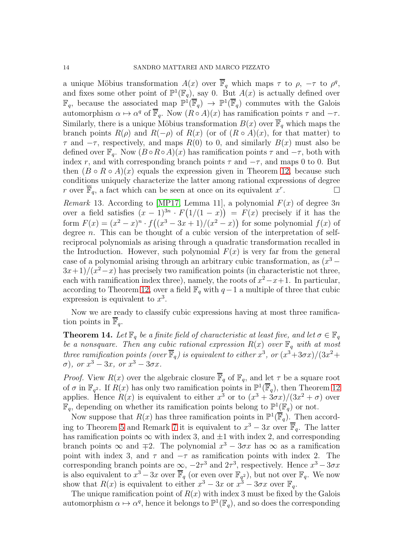a unique Möbius transformation  $A(x)$  over  $\overline{\mathbb{F}}_q$  which maps  $\tau$  to  $\rho$ ,  $-\tau$  to  $\rho^q$ , and fixes some other point of  $\mathbb{P}^1(\mathbb{F}_q)$ , say 0. But  $A(x)$  is actually defined over  $\mathbb{F}_q$ , because the associated map  $\mathbb{P}^1(\overline{\mathbb{F}}_q) \to \mathbb{P}^1(\overline{\mathbb{F}}_q)$  commutes with the Galois automorphism  $\alpha \mapsto \alpha^q$  of  $\overline{\mathbb{F}}_q$ . Now  $(R \circ A)(x)$  has ramification points  $\tau$  and  $-\tau$ . Similarly, there is a unique Möbius transformation  $B(x)$  over  $\overline{\mathbb{F}}_q$  which maps the branch points  $R(\rho)$  and  $R(-\rho)$  of  $R(x)$  (or of  $(R \circ A)(x)$ , for that matter) to  $\tau$  and  $-\tau$ , respectively, and maps  $R(0)$  to 0, and similarly  $B(x)$  must also be defined over  $\mathbb{F}_q$ . Now  $(B \circ R \circ A)(x)$  has ramification points  $\tau$  and  $-\tau$ , both with index r, and with corresponding branch points  $\tau$  and  $-\tau$ , and maps 0 to 0. But then  $(B \circ R \circ A)(x)$  equals the expression given in Theorem [12,](#page-12-1) because such conditions uniquely characterize the latter among rational expressions of degree r over  $\overline{\mathbb{F}}_q$ , a fact which can be seen at once on its equivalent  $x^r$ .  $\qquad \qquad \Box$ 

<span id="page-13-0"></span>*Remark* 13. According to [\[MP17,](#page-21-2) Lemma 11], a polynomial  $F(x)$  of degree 3n over a field satisfies  $(x-1)^{3n} \cdot F(1/(1-x)) = F(x)$  precisely if it has the form  $F(x) = (x^2 - x)^n \cdot f((x^3 - 3x + 1)/(x^2 - x))$  for some polynomial  $f(x)$  of degree *n*. This can be thought of a cubic version of the interpretation of selfreciprocal polynomials as arising through a quadratic transformation recalled in the Introduction. However, such polynomial  $F(x)$  is very far from the general case of a polynomial arising through an arbitrary cubic transformation, as  $(x^3 3x+1)/(x^2-x)$  has precisely two ramification points (in characteristic not three, each with ramification index three), namely, the roots of  $x^2 - x + 1$ . In particular, according to Theorem [12,](#page-12-1) over a field  $\mathbb{F}_q$  with  $q-1$  a multiple of three that cubic expression is equivalent to  $x^3$ .

Now we are ready to classify cubic expressions having at most three ramification points in  $\mathbb{F}_q$ .

<span id="page-13-1"></span>**Theorem 14.** Let  $\mathbb{F}_q$  be a finite field of characteristic at least five, and let  $\sigma \in \mathbb{F}_q$ be a nonsquare. Then any cubic rational expression  $R(x)$  over  $\mathbb{F}_q$  with at most three ramification points (over  $\overline{\mathbb{F}}_q$ ) is equivalent to either  $x^3$ , or  $(x^3+3\sigma x)/(3x^2+\sigma^2)$  $(\sigma)$ , or  $x^3 - 3x$ , or  $x^3 - 3\sigma x$ .

*Proof.* View  $R(x)$  over the algebraic closure  $\overline{\mathbb{F}}_q$  of  $\mathbb{F}_q$ , and let  $\tau$  be a square root of  $\sigma$  in  $\mathbb{F}_{q^2}$ . If  $R(x)$  has only two ramification points in  $\mathbb{P}^1(\overline{\mathbb{F}}_q)$ , then Theorem [12](#page-12-1) applies. Hence  $R(x)$  is equivalent to either  $x^3$  or to  $(x^3 + 3\sigma x)/(3x^2 + \sigma)$  over  $\mathbb{F}_q$ , depending on whether its ramification points belong to  $\mathbb{P}^1(\mathbb{F}_q)$  or not.

Now suppose that  $R(x)$  has three ramification points in  $\mathbb{P}^1(\overline{\mathbb{F}}_q)$ . Then accord-ing to Theorem [5](#page-7-1) and Remark [7](#page-9-0) it is equivalent to  $x^3 - 3x$  over  $\overline{\mathbb{F}}_q$ . The latter has ramification points  $\infty$  with index 3, and  $\pm 1$  with index 2, and corresponding branch points  $\infty$  and  $\mp 2$ . The polynomial  $x^3 - 3\sigma x$  has  $\infty$  as a ramification point with index 3, and  $\tau$  and  $-\tau$  as ramification points with index 2. The corresponding branch points are  $\infty$ ,  $-2\tau^3$  and  $2\tau^3$ , respectively. Hence  $x^3 - 3\sigma x$ is also equivalent to  $x^3 - 3x$  over  $\overline{\mathbb{F}}_q$  (or even over  $\mathbb{F}_{q^2}$ ), but not over  $\mathbb{F}_q$ . We now show that  $R(x)$  is equivalent to either  $x^3 - 3x$  or  $x^3 - 3\sigma x$  over  $\mathbb{F}_q$ .

The unique ramification point of  $R(x)$  with index 3 must be fixed by the Galois automorphism  $\alpha \mapsto \alpha^q$ , hence it belongs to  $\mathbb{P}^1(\mathbb{F}_q)$ , and so does the corresponding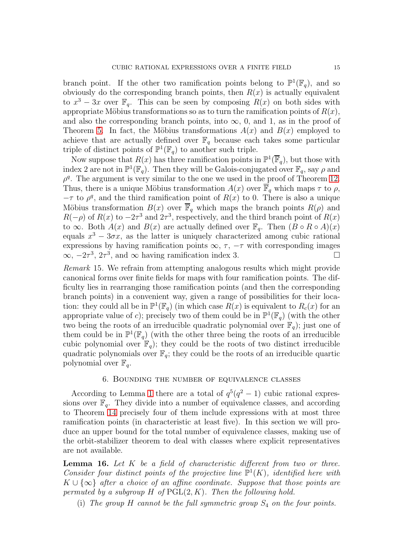branch point. If the other two ramification points belong to  $\mathbb{P}^1(\mathbb{F}_q)$ , and so obviously do the corresponding branch points, then  $R(x)$  is actually equivalent to  $x^3 - 3x$  over  $\mathbb{F}_q$ . This can be seen by composing  $R(x)$  on both sides with appropriate Möbius transformations so as to turn the ramification points of  $R(x)$ , and also the corresponding branch points, into  $\infty$ , 0, and 1, as in the proof of Theorem [5.](#page-7-1) In fact, the Möbius transformations  $A(x)$  and  $B(x)$  employed to achieve that are actually defined over  $\mathbb{F}_q$  because each takes some particular triple of distinct points of  $\mathbb{P}^1(\mathbb{F}_q)$  to another such triple.

Now suppose that  $R(x)$  has three ramification points in  $\mathbb{P}^1(\overline{\mathbb{F}}_q)$ , but those with index 2 are not in  $\mathbb{P}^1(\mathbb{F}_q)$ . Then they will be Galois-conjugated over  $\mathbb{F}_q$ , say  $\rho$  and  $\rho^q$ . The argument is very similar to the one we used in the proof of Theorem [12.](#page-12-1) Thus, there is a unique Möbius transformation  $A(x)$  over  $\mathbb{F}_q$  which maps  $\tau$  to  $\rho$ ,  $-\tau$  to  $\rho^q$ , and the third ramification point of  $R(x)$  to 0. There is also a unique Möbius transformation  $B(x)$  over  $\overline{\mathbb{F}}_q$  which maps the branch points  $R(\rho)$  and  $R(-\rho)$  of  $R(x)$  to  $-2\tau^3$  and  $2\tau^3$ , respectively, and the third branch point of  $R(x)$ to  $\infty$ . Both  $A(x)$  and  $B(x)$  are actually defined over  $\mathbb{F}_q$ . Then  $(B \circ R \circ A)(x)$ equals  $x^3 - 3\sigma x$ , as the latter is uniquely characterized among cubic rational expressions by having ramification points  $\infty$ ,  $\tau$ ,  $-\tau$  with corresponding images  $\infty$ ,  $-2\tau^3$ ,  $2\tau^3$ , and  $\infty$  having ramification index 3.  $\infty$ ,  $-2\tau^3$ ,  $2\tau^3$ , and  $\infty$  having ramification index 3.

<span id="page-14-0"></span>Remark 15. We refrain from attempting analogous results which might provide canonical forms over finite fields for maps with four ramification points. The difficulty lies in rearranging those ramification points (and then the corresponding branch points) in a convenient way, given a range of possibilities for their location: they could all be in  $\mathbb{P}^1(\mathbb{F}_q)$  (in which case  $R(x)$  is equivalent to  $R_c(x)$  for an appropriate value of c); precisely two of them could be in  $\mathbb{P}^1(\mathbb{F}_q)$  (with the other two being the roots of an irreducible quadratic polynomial over  $\mathbb{F}_q$ ); just one of them could be in  $\mathbb{P}^1(\mathbb{F}_q)$  (with the other three being the roots of an irreducible cubic polynomial over  $\mathbb{F}_q$ ; they could be the roots of two distinct irreducible quadratic polynomials over  $\mathbb{F}_q$ ; they could be the roots of an irreducible quartic polynomial over  $\mathbb{F}_q$ .

## 6. Bounding the number of equivalence classes

<span id="page-14-1"></span>According to Lemma [1](#page-3-1) there are a total of  $q^5(q^2-1)$  cubic rational expressions over  $\mathbb{F}_q$ . They divide into a number of equivalence classes, and according to Theorem [14](#page-13-1) precisely four of them include expressions with at most three ramification points (in characteristic at least five). In this section we will produce an upper bound for the total number of equivalence classes, making use of the orbit-stabilizer theorem to deal with classes where explicit representatives are not available.

<span id="page-14-2"></span>**Lemma 16.** Let  $K$  be a field of characteristic different from two or three. Consider four distinct points of the projective line  $\mathbb{P}^1(K)$ , identified here with  $K \cup \{\infty\}$  after a choice of an affine coordinate. Suppose that those points are permuted by a subgroup H of  $PGL(2, K)$ . Then the following hold.

(i) The group  $H$  cannot be the full symmetric group  $S_4$  on the four points.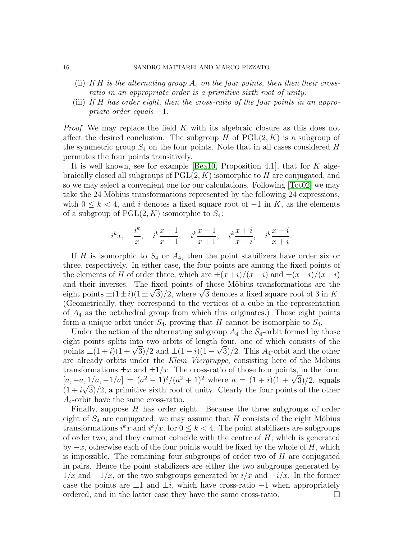#### 16 SANDRO MATTAREI AND MARCO PIZZATO

- (ii) If H is the alternating group  $A_4$  on the four points, then then their crossratio in an appropriate order is a primitive sixth root of unity.
- (iii) If H has order eight, then the cross-ratio of the four points in an appropriate order equals  $-1$ .

*Proof.* We may replace the field K with its algebraic closure as this does not affect the desired conclusion. The subgroup H of  $PGL(2, K)$  is a subgroup of the symmetric group  $S_4$  on the four points. Note that in all cases considered H permutes the four points transitively.

It is well known, see for example [\[Bea10,](#page-21-11) Proposition 4.1], that for  $K$  algebraically closed all subgroups of  $PGL(2, K)$  isomorphic to H are conjugated, and so we may select a convenient one for our calculations. Following [\[Tot02\]](#page-21-12) we may take the 24 Möbius transformations represented by the following 24 expressions, with  $0 \leq k < 4$ , and i denotes a fixed square root of  $-1$  in K, as the elements of a subgroup of  $PGL(2, K)$  isomorphic to  $S_4$ :

$$
i^{k}x
$$
,  $\frac{i^{k}}{x}$ ,  $i^{k}\frac{x+1}{x-1}$ ,  $i^{k}\frac{x-1}{x+1}$ ,  $i^{k}\frac{x+i}{x-i}$ ,  $i^{k}\frac{x-i}{x+i}$ .

If H is isomorphic to  $S_4$  or  $A_4$ , then the point stabilizers have order six or three, respectively. In either case, the four points are among the fixed points of the elements of H of order three, which are  $\pm(x+i)/(x-i)$  and  $\pm(x-i)/(x+i)$ and their inverses. The fixed points of those Möbius transformations are the eight points  $\pm(1\pm i)(1\pm\sqrt{3})/2$ , where  $\sqrt{3}$  denotes a fixed square root of 3 in K. (Geometrically, they correspond to the vertices of a cube in the representation of  $A_4$  as the octahedral group from which this originates.) Those eight points form a unique orbit under  $S_4$ , proving that H cannot be isomorphic to  $S_4$ .

Under the action of the alternating subgroup  $A_4$  the  $S_4$ -orbit formed by those eight points splits into two orbits of length four, one of which consists of the points  $\pm(1+i)(1+\sqrt{3})/2$  and  $\pm(1-i)(1-\sqrt{3})/2$ . This  $A_4$ -orbit and the other are already orbits under the Klein Viergruppe, consisting here of the Möbius transformations  $\pm x$  and  $\pm 1/x$ . The cross-ratio of those four points, in the form  $[a, -a, \frac{1}{a}, -1/a] = (a^2 - 1)^2/(a^2 + 1)^2$  where  $a = (1 + i)(1 + \sqrt{3})/2$ , equals  $(1 + i\sqrt{3})/2$ , a primitive sixth root of unity. Clearly the four points of the other  $A_4$ -orbit have the same cross-ratio.

Finally, suppose  $H$  has order eight. Because the three subgroups of order eight of  $S_4$  are conjugated, we may assume that H consists of the eight Möbius transformations  $i^k x$  and  $i^k/x$ , for  $0 \leq k < 4$ . The point stabilizers are subgroups of order two, and they cannot coincide with the centre of  $H$ , which is generated by  $-x$ , otherwise each of the four points would be fixed by the whole of H, which is impossible. The remaining four subgroups of order two of H are conjugated in pairs. Hence the point stabilizers are either the two subgroups generated by  $1/x$  and  $-1/x$ , or the two subgroups generated by  $i/x$  and  $-i/x$ . In the former case the points are  $\pm 1$  and  $\pm i$ , which have cross-ratio  $-1$  when appropriately ordered, and in the latter case they have the same cross-ratio. ordered, and in the latter case they have the same cross-ratio.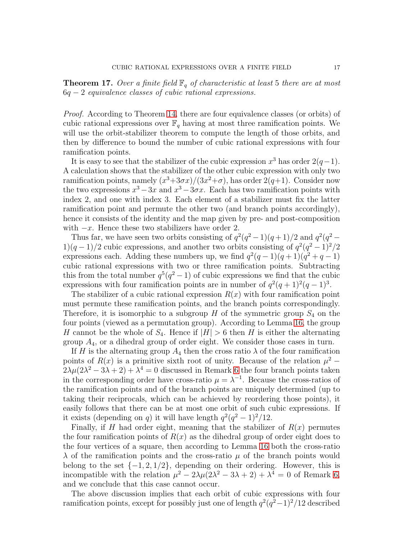<span id="page-16-0"></span>**Theorem 17.** Over a finite field  $\mathbb{F}_q$  of characteristic at least 5 there are at most  $6q - 2$  equivalence classes of cubic rational expressions.

*Proof.* According to Theorem [14,](#page-13-1) there are four equivalence classes (or orbits) of cubic rational expressions over  $\mathbb{F}_q$  having at most three ramification points. We will use the orbit-stabilizer theorem to compute the length of those orbits, and then by difference to bound the number of cubic rational expressions with four ramification points.

It is easy to see that the stabilizer of the cubic expression  $x^3$  has order  $2(q-1)$ . A calculation shows that the stabilizer of the other cubic expression with only two ramification points, namely  $(x^3+3\sigma x)/(3x^2+\sigma)$ , has order  $2(q+1)$ . Consider now the two expressions  $x^3 - 3x$  and  $x^3 - 3\sigma x$ . Each has two ramification points with index 2, and one with index 3. Each element of a stabilizer must fix the latter ramification point and permute the other two (and branch points accordingly), hence it consists of the identity and the map given by pre- and post-composition with  $-x$ . Hence these two stabilizers have order 2.

Thus far, we have seen two orbits consisting of  $q^2(q^2-1)(q+1)/2$  and  $q^2(q^2-1)$ 1)(q – 1)/2 cubic expressions, and another two orbits consisting of  $q^2(q^2-1)^2/2$ expressions each. Adding these numbers up, we find  $q^2(q-1)(q+1)(q^2+q-1)$ cubic rational expressions with two or three ramification points. Subtracting this from the total number  $q^5(q^2-1)$  of cubic expressions we find that the cubic expressions with four ramification points are in number of  $q^2(q+1)^2(q-1)^3$ .

The stabilizer of a cubic rational expression  $R(x)$  with four ramification point must permute these ramification points, and the branch points correspondingly. Therefore, it is isomorphic to a subgroup  $H$  of the symmetric group  $S_4$  on the four points (viewed as a permutation group). According to Lemma [16,](#page-14-2) the group H cannot be the whole of  $S_4$ . Hence if  $|H| > 6$  then H is either the alternating group  $A_4$ , or a dihedral group of order eight. We consider those cases in turn.

If H is the alternating group  $A_4$  then the cross ratio  $\lambda$  of the four ramification points of  $R(x)$  is a primitive sixth root of unity. Because of the relation  $\mu^2$  –  $2\lambda\mu(2\lambda^2-3\lambda+2)+\lambda^4=0$  discussed in Remark [6](#page-9-2) the four branch points taken in the corresponding order have cross-ratio  $\mu = \lambda^{-1}$ . Because the cross-ratios of the ramification points and of the branch points are uniquely determined (up to taking their reciprocals, which can be achieved by reordering those points), it easily follows that there can be at most one orbit of such cubic expressions. If it exists (depending on q) it will have length  $q^2(q^2-1)^2/12$ .

Finally, if H had order eight, meaning that the stabilizer of  $R(x)$  permutes the four ramification points of  $R(x)$  as the dihedral group of order eight does to the four vertices of a square, then according to Lemma [16](#page-14-2) both the cross-ratio  $\lambda$  of the ramification points and the cross-ratio  $\mu$  of the branch points would belong to the set  $\{-1, 2, 1/2\}$ , depending on their ordering. However, this is incompatible with the relation  $\mu^2 - 2\lambda\mu(2\lambda^2 - 3\lambda + 2) + \lambda^4 = 0$  of Remark [6,](#page-9-2) and we conclude that this case cannot occur.

The above discussion implies that each orbit of cubic expressions with four ramification points, except for possibly just one of length  $q^2(q^2-1)^2/12$  described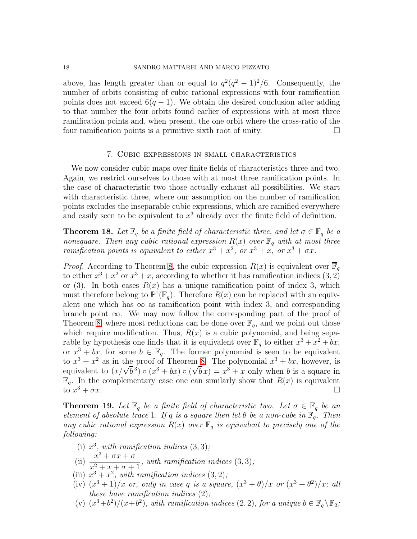above, has length greater than or equal to  $q^2(q^2-1)^2/6$ . Consequently, the number of orbits consisting of cubic rational expressions with four ramification points does not exceed  $6(q-1)$ . We obtain the desired conclusion after adding to that number the four orbits found earlier of expressions with at most three ramification points and, when present, the one orbit where the cross-ratio of the four ramification points is a primitive sixth root of unity.  $\Box$ 

### 7. Cubic expressions in small characteristics

<span id="page-17-0"></span>We now consider cubic maps over finite fields of characteristics three and two. Again, we restrict ourselves to those with at most three ramification points. In the case of characteristic two those actually exhaust all possibilities. We start with characteristic three, where our assumption on the number of ramification points excludes the inseparable cubic expressions, which are ramified everywhere and easily seen to be equivalent to  $x^3$  already over the finite field of definition.

**Theorem 18.** Let  $\mathbb{F}_q$  be a finite field of characteristic three, and let  $\sigma \in \mathbb{F}_q$  be a nonsquare. Then any cubic rational expression  $R(x)$  over  $\mathbb{F}_q$  with at most three ramification points is equivalent to either  $x^3 + x^2$ , or  $x^3 + x$ , or  $x^3 + \sigma x$ .

*Proof.* According to Theorem [8,](#page-9-1) the cubic expression  $R(x)$  is equivalent over  $\overline{\mathbb{F}}_q$ to either  $x^3 + x^2$  or  $x^3 + x$ , according to whether it has ramification indices  $(3, 2)$ or (3). In both cases  $R(x)$  has a unique ramification point of index 3, which must therefore belong to  $\mathbb{P}^1(\mathbb{F}_q)$ . Therefore  $R(x)$  can be replaced with an equivalent one which has  $\infty$  as ramification point with index 3, and corresponding branch point  $\infty$ . We may now follow the corresponding part of the proof of Theorem [8,](#page-9-1) where most reductions can be done over  $\mathbb{F}_q$ , and we point out those which require modification. Thus,  $R(x)$  is a cubic polynomial, and being separable by hypothesis one finds that it is equivalent over  $\mathbb{F}_q$  to either  $x^3 + x^2 + bx$ , or  $x^3 + bx$ , for some  $b \in \mathbb{F}_q$ . The former polynomial is seen to be equivalent to  $x^3 + x^2$  as in the proof of Theorem [8.](#page-9-1) The polynomial  $x^3 + bx$ , however, is equivalent to  $(x/\sqrt{b}^3) \circ (x^3 + bx) \circ (\sqrt{b}x) = x^3 + x$  only when b is a square in  $\mathbb{F}_q$ . In the complementary case one can similarly show that  $R(x)$  is equivalent to  $x^3 + \sigma x$ .  $3 + \sigma x$ .

<span id="page-17-1"></span>**Theorem 19.** Let  $\mathbb{F}_q$  be a finite field of characteristic two. Let  $\sigma \in \mathbb{F}_q$  be an element of absolute trace 1. If q is a square then let  $\theta$  be a non-cube in  $\mathbb{F}_q$ . Then any cubic rational expression  $R(x)$  over  $\mathbb{F}_q$  is equivalent to precisely one of the following:

- (i)  $x^3$ , with ramification indices  $(3,3)$ ;
- (ii)  $\frac{x^3 + \sigma x + \sigma}{2}$  $\frac{x^2 + x + \sigma + 1}{x^2 + x + \sigma + 1}$ , with ramification indices (3, 3);
- (iii)  $x^3 + x^2$ , with ramification indices  $(3, 2)$ ;
- (iv)  $(x^3+1)/x$  or, only in case q is a square,  $(x^3 + \theta)/x$  or  $(x^3 + \theta^2)/x$ ; all these have ramification indices  $(2)$ ;
- (v)  $(x^3+b^2)/(x+b^2)$ , with ramification indices (2, 2), for a unique  $b \in \mathbb{F}_q \backslash \mathbb{F}_2$ ;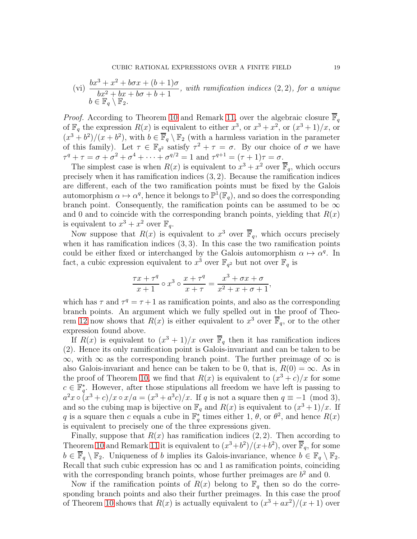(vi) 
$$
\frac{bx^3 + x^2 + b\sigma x + (b+1)\sigma}{bx^2 + bx + b\sigma + b + 1}
$$
, with ramification indices (2, 2), for a unique  $b \in \mathbb{F}_q \setminus \mathbb{F}_2$ .

*Proof.* According to Theorem [10](#page-10-0) and Remark [11,](#page-11-0) over the algebraic closure  $\overline{\mathbb{F}}_q$ of  $\mathbb{F}_q$  the expression  $R(x)$  is equivalent to either  $x^3$ , or  $x^3 + x^2$ , or  $(x^3 + 1)/x$ , or  $(x^3 + b^2)/(x + b^2)$ , with  $b \in \overline{\mathbb{F}}_q \setminus \mathbb{F}_2$  (with a harmless variation in the parameter of this family). Let  $\tau \in \mathbb{F}_{q^2}$  satisfy  $\tau^2 + \tau = \sigma$ . By our choice of  $\sigma$  we have  $\tau^{q} + \tau = \sigma + \sigma^{2} + \sigma^{4} + \cdots + \sigma^{q/2} = 1$  and  $\tau^{q+1} = (\tau + 1)\tau = \sigma$ .

The simplest case is when  $R(x)$  is equivalent to  $x^3 + x^2$  over  $\overline{\mathbb{F}}_q$ , which occurs precisely when it has ramification indices (3, 2). Because the ramification indices are different, each of the two ramification points must be fixed by the Galois automorphism  $\alpha \mapsto \alpha^q$ , hence it belongs to  $\mathbb{P}^1(\mathbb{F}_q)$ , and so does the corresponding branch point. Consequently, the ramification points can be assumed to be  $\infty$ and 0 and to coincide with the corresponding branch points, yielding that  $R(x)$ is equivalent to  $x^3 + x^2$  over  $\mathbb{F}_q$ .

Now suppose that  $R(x)$  is equivalent to  $x^3$  over  $\overline{\mathbb{F}}_q$ , which occurs precisely when it has ramification indices  $(3, 3)$ . In this case the two ramification points could be either fixed or interchanged by the Galois automorphism  $\alpha \mapsto \alpha^q$ . In fact, a cubic expression equivalent to  $x^3$  over  $\mathbb{F}_{q^2}$  but not over  $\mathbb{F}_q$  is

$$
\frac{\tau x + \tau^q}{x+1} \circ x^3 \circ \frac{x+\tau^q}{x+\tau} = \frac{x^3 + \sigma x + \sigma}{x^2 + x + \sigma + 1},
$$

which has  $\tau$  and  $\tau^q = \tau + 1$  as ramification points, and also as the corresponding branch points. An argument which we fully spelled out in the proof of Theo-rem [12](#page-12-1) now shows that  $R(x)$  is either equivalent to  $x^3$  over  $\overline{\mathbb{F}}_q$ , or to the other expression found above.

If  $R(x)$  is equivalent to  $(x^3 + 1)/x$  over  $\overline{\mathbb{F}}_q$  then it has ramification indices (2). Hence its only ramification point is Galois-invariant and can be taken to be  $\infty$ , with  $\infty$  as the corresponding branch point. The further preimage of  $\infty$  is also Galois-invariant and hence can be taken to be 0, that is,  $R(0) = \infty$ . As in the proof of Theorem [10,](#page-10-0) we find that  $R(x)$  is equivalent to  $(x^3 + c)/x$  for some  $c \in \mathbb{F}_q^*$ q . However, after those stipulations all freedom we have left is passing to  $a^2x \circ (x^3+c)/x \circ x/a = (x^3+a^3c)/x$ . If q is not a square then  $q \equiv -1 \pmod{3}$ , and so the cubing map is bijective on  $\mathbb{F}_q$  and  $R(x)$  is equivalent to  $(x^3 + 1)/x$ . If q is a square then c equals a cube in  $\mathbb{F}_q^*$ <sup>\*</sup><sub>q</sub> times either 1,  $\theta$ , or  $\theta^2$ , and hence  $R(x)$ is equivalent to precisely one of the three expressions given.

Finally, suppose that  $R(x)$  has ramification indices  $(2, 2)$ . Then according to Theorem [10](#page-10-0) and Remark [11](#page-11-0) it is equivalent to  $(x^3+b^2)/(x+b^2)$ , over  $\overline{\mathbb{F}}_q$ , for some  $b \in \overline{\mathbb{F}}_q \setminus \mathbb{F}_2$ . Uniqueness of b implies its Galois-invariance, whence  $b \in \mathbb{F}_q \setminus \mathbb{F}_2$ . Recall that such cubic expression has  $\infty$  and 1 as ramification points, coinciding with the corresponding branch points, whose further preimages are  $b<sup>2</sup>$  and 0.

Now if the ramification points of  $R(x)$  belong to  $\mathbb{F}_q$  then so do the corresponding branch points and also their further preimages. In this case the proof of Theorem [10](#page-10-0) shows that  $R(x)$  is actually equivalent to  $(x^3 + ax^2)/(x+1)$  over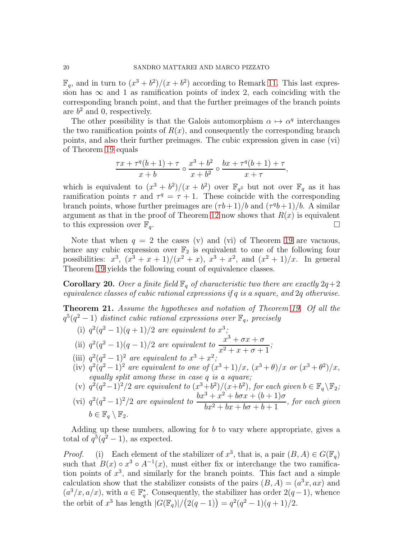$\mathbb{F}_q$ , and in turn to  $(x^3 + b^2)/(x + b^2)$  according to Remark [11.](#page-11-0) This last expression has  $\infty$  and 1 as ramification points of index 2, each coinciding with the corresponding branch point, and that the further preimages of the branch points are  $b^2$  and 0, respectively.

The other possibility is that the Galois automorphism  $\alpha \mapsto \alpha^q$  interchanges the two ramification points of  $R(x)$ , and consequently the corresponding branch points, and also their further preimages. The cubic expression given in case (vi) of Theorem [19](#page-17-1) equals

$$
\frac{\tau x + \tau^{q}(b+1) + \tau}{x+b} \circ \frac{x^3 + b^2}{x+b^2} \circ \frac{bx + \tau^{q}(b+1) + \tau}{x+\tau},
$$

which is equivalent to  $(x^3 + b^2)/(x + b^2)$  over  $\mathbb{F}_{q^2}$  but not over  $\mathbb{F}_q$  as it has ramification points  $\tau$  and  $\tau^q = \tau + 1$ . These coincide with the corresponding branch points, whose further preimages are  $(\tau b + 1)/b$  and  $(\tau^q b + 1)/b$ . A similar argument as that in the proof of Theorem [12](#page-12-1) now shows that  $R(x)$  is equivalent to this expression over  $\mathbb{F}_q$ .

Note that when  $q = 2$  the cases (v) and (vi) of Theorem [19](#page-17-1) are vacuous, hence any cubic expression over  $\mathbb{F}_2$  is equivalent to one of the following four possibilities:  $x^3$ ,  $(x^3 + x + 1)/(x^2 + x)$ ,  $x^3 + x^2$ , and  $(x^2 + 1)/x$ . In general Theorem [19](#page-17-1) yields the following count of equivalence classes.

**Corollary 20.** Over a finite field  $\mathbb{F}_q$  of characteristic two there are exactly  $2q+2$ equivalence classes of cubic rational expressions if q is a square, and 2q otherwise.

<span id="page-19-0"></span>Theorem 21. Assume the hypotheses and notation of Theorem [19.](#page-17-1) Of all the  $q^5(q^2-1)$  distinct cubic rational expressions over  $\mathbb{F}_q$ , precisely

(i)  $q^2(q^2-1)(q+1)/2$  are equivalent to  $x^3$ ;

(ii) 
$$
q^2(q^2-1)(q-1)/2
$$
 are equivalent to  $\frac{x^3 + \sigma x + \sigma}{x^2 + x + \sigma + 1}$ ;

- (iii)  $q^2(q^2-1)^2$  are equivalent to  $x^3+x^2$ ;
- (iv)  $q^2(q^2-1)^2$  are equivalent to one of  $(x^3+1)/x$ ,  $(x^3+\theta)/x$  or  $(x^3+\theta^2)/x$ , equally split among these in case q is a square;
- (v)  $q^2(q^2-1)^2/2$  are equivalent to  $(x^3+b^2)/(x+b^2)$ , for each given  $b \in \mathbb{F}_q \backslash \mathbb{F}_2$ ;
- (vi)  $q^2(q^2-1)^2/2$  are equivalent to  $\frac{bx^3+x^2+b\sigma x+(b+1)\sigma}{bx^2+bx+b\sigma+b+1}$  $\frac{b^2 + b^2 + b^2 + b^2 + b^2 + b^2}{b^2 + b^2 + b^2 + b^2 + b^2}$ , for each given  $b \in \mathbb{F}_q \setminus \mathbb{F}_2.$

Adding up these numbers, allowing for  $b$  to vary where appropriate, gives a total of  $q^5(q^2-1)$ , as expected.

*Proof.* (i) Each element of the stabilizer of  $x^3$ , that is, a pair  $(B, A) \in G(\mathbb{F}_q)$ such that  $B(x) \circ x^3 \circ A^{-1}(x)$ , must either fix or interchange the two ramification points of  $x^3$ , and similarly for the branch points. This fact and a simple calculation show that the stabilizer consists of the pairs  $(B, A) = (a^3x, ax)$  and  $(a^3/x, a/x)$ , with  $a \in \mathbb{F}_q^*$ <sup>\*</sup><sub>q</sub>. Consequently, the stabilizer has order  $2(q-1)$ , whence the orbit of  $x^3$  has length  $|G(\mathbb{F}_q)|/(2(q-1)) = q^2(q^2-1)(q+1)/2$ .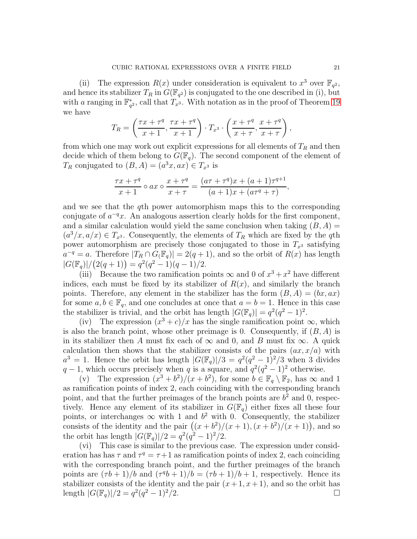(ii) The expression  $R(x)$  under consideration is equivalent to  $x^3$  over  $\mathbb{F}_{q^2}$ , and hence its stabilizer  $T_R$  in  $\hat{G}(\mathbb{F}_{q^2})$  is conjugated to the one described in (i), but with *a* ranging in  $\mathbb{F}_q^*$  $_{q^2}^*$ , call that  $T_{x^3}$ . With notation as in the proof of Theorem [19](#page-17-1) we have

$$
T_R = \left(\frac{\tau x + \tau^q}{x+1}, \frac{\tau x + \tau^q}{x+1}\right) \cdot T_{x^3} \cdot \left(\frac{x + \tau^q}{x+ \tau}, \frac{x + \tau^q}{x+ \tau}\right),
$$

from which one may work out explicit expressions for all elements of  $T_R$  and then decide which of them belong to  $G(\mathbb{F}_q)$ . The second component of the element of  $T_R$  conjugated to  $(B, A) = (a^3x, ax) \in T_{x^3}$  is

$$
\frac{\tau x + \tau^q}{x + 1} \circ ax \circ \frac{x + \tau^q}{x + \tau} = \frac{(a\tau + \tau^q)x + (a + 1)\tau^{q+1}}{(a + 1)x + (a\tau^q + \tau)},
$$

and we see that the qth power automorphism maps this to the corresponding conjugate of  $a^{-q}x$ . An analogous assertion clearly holds for the first component, and a similar calculation would yield the same conclusion when taking  $(B, A)$  $(a^3/x, a/x) \in T_{x^3}$ . Consequently, the elements of  $T_R$  which are fixed by the qth power automorphism are precisely those conjugated to those in  $T_{x3}$  satisfying  $a^{-q} = a$ . Therefore  $|T_R \cap G(\mathbb{F}_q)| = 2(q+1)$ , and so the orbit of  $R(x)$  has length  $|G(\mathbb{F}_q)|/(2(q+1)) = q^2(q^2-1)(q-1)/2.$ 

(iii) Because the two ramification points  $\infty$  and 0 of  $x^3 + x^2$  have different indices, each must be fixed by its stabilizer of  $R(x)$ , and similarly the branch points. Therefore, any element in the stabilizer has the form  $(B, A) = (bx, ax)$ for some  $a, b \in \mathbb{F}_q$ , and one concludes at once that  $a = b = 1$ . Hence in this case the stabilizer is trivial, and the orbit has length  $|G(\mathbb{F}_q)| = q^2(q^2 - 1)^2$ .

(iv) The expression  $(x^3 + c)/x$  has the single ramification point  $\infty$ , which is also the branch point, whose other preimage is 0. Consequently, if  $(B, A)$  is in its stabilizer then A must fix each of  $\infty$  and 0, and B must fix  $\infty$ . A quick calculation then shows that the stabilizer consists of the pairs  $(ax, x/a)$  with  $a^3 = 1$ . Hence the orbit has length  $|G(\mathbb{F}_q)|/3 = q^2(q^2-1)^2/3$  when 3 divides  $q-1$ , which occurs precisely when q is a square, and  $q^2(q^2-1)^2$  otherwise.

(v) The expression  $(x^3 + b^2)/(x + b^2)$ , for some  $b \in \mathbb{F}_q \setminus \mathbb{F}_2$ , has  $\infty$  and 1 as ramification points of index 2, each coinciding with the corresponding branch point, and that the further preimages of the branch points are  $b<sup>2</sup>$  and 0, respectively. Hence any element of its stabilizer in  $G(\mathbb{F}_q)$  either fixes all these four points, or interchanges  $\infty$  with 1 and  $b^2$  with 0. Consequently, the stabilizer consists of the identity and the pair  $((x + b^2)/(x + 1), (x + b^2)/(x + 1))$ , and so the orbit has length  $|G(\mathbb{F}_q)|/2 = q^2(q^2-1)^2/2$ .

(vi) This case is similar to the previous case. The expression under consideration has has  $\tau$  and  $\tau^q = \tau + 1$  as ramification points of index 2, each coinciding with the corresponding branch point, and the further preimages of the branch points are  $(\tau b + 1)/b$  and  $(\tau^q b + 1)/b = (\tau b + 1)/b + 1$ , respectively. Hence its stabilizer consists of the identity and the pair  $(x+1, x+1)$ , and so the orbit has length  $|G(\mathbb{F}_q)|/2 = q^2(q^2-1)^2/2$ .